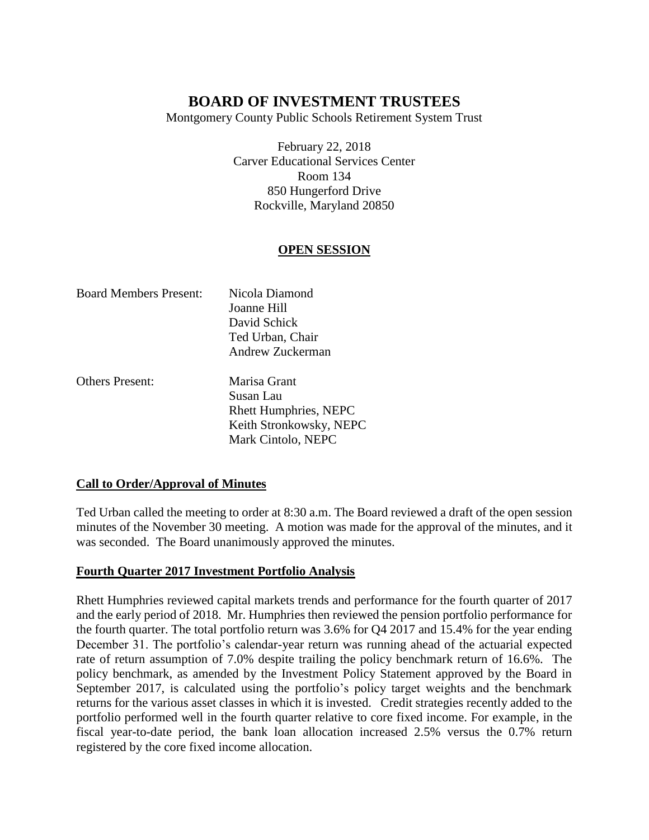Montgomery County Public Schools Retirement System Trust

February 22, 2018 Carver Educational Services Center Room 134 850 Hungerford Drive Rockville, Maryland 20850

## **OPEN SESSION**

| <b>Board Members Present:</b> | Nicola Diamond   |
|-------------------------------|------------------|
|                               | Joanne Hill      |
|                               | David Schick     |
|                               | Ted Urban, Chair |
|                               | Andrew Zuckerman |
| <b>Others Present:</b>        | Marisa Grant     |
|                               | Susan Lau        |

Susan Lau Rhett Humphries, NEPC Keith Stronkowsky, NEPC Mark Cintolo, NEPC

## **Call to Order/Approval of Minutes**

Ted Urban called the meeting to order at 8:30 a.m. The Board reviewed a draft of the open session minutes of the November 30 meeting. A motion was made for the approval of the minutes, and it was seconded. The Board unanimously approved the minutes.

## **Fourth Quarter 2017 Investment Portfolio Analysis**

Rhett Humphries reviewed capital markets trends and performance for the fourth quarter of 2017 and the early period of 2018. Mr. Humphries then reviewed the pension portfolio performance for the fourth quarter. The total portfolio return was 3.6% for Q4 2017 and 15.4% for the year ending December 31. The portfolio's calendar-year return was running ahead of the actuarial expected rate of return assumption of 7.0% despite trailing the policy benchmark return of 16.6%. The policy benchmark, as amended by the Investment Policy Statement approved by the Board in September 2017, is calculated using the portfolio's policy target weights and the benchmark returns for the various asset classes in which it is invested. Credit strategies recently added to the portfolio performed well in the fourth quarter relative to core fixed income. For example, in the fiscal year-to-date period, the bank loan allocation increased 2.5% versus the 0.7% return registered by the core fixed income allocation.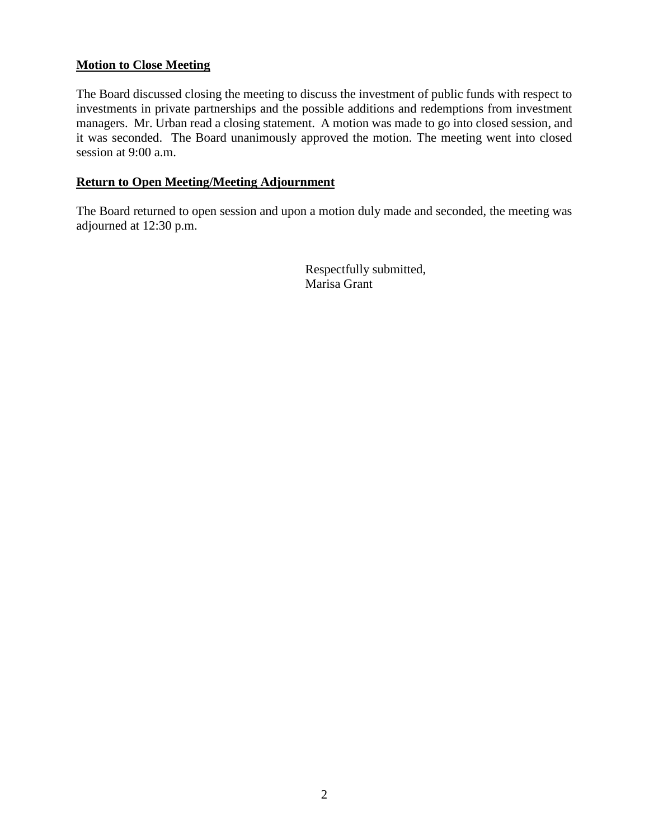### **Motion to Close Meeting**

The Board discussed closing the meeting to discuss the investment of public funds with respect to investments in private partnerships and the possible additions and redemptions from investment managers. Mr. Urban read a closing statement. A motion was made to go into closed session, and it was seconded. The Board unanimously approved the motion. The meeting went into closed session at 9:00 a.m.

#### **Return to Open Meeting/Meeting Adjournment**

The Board returned to open session and upon a motion duly made and seconded, the meeting was adjourned at 12:30 p.m.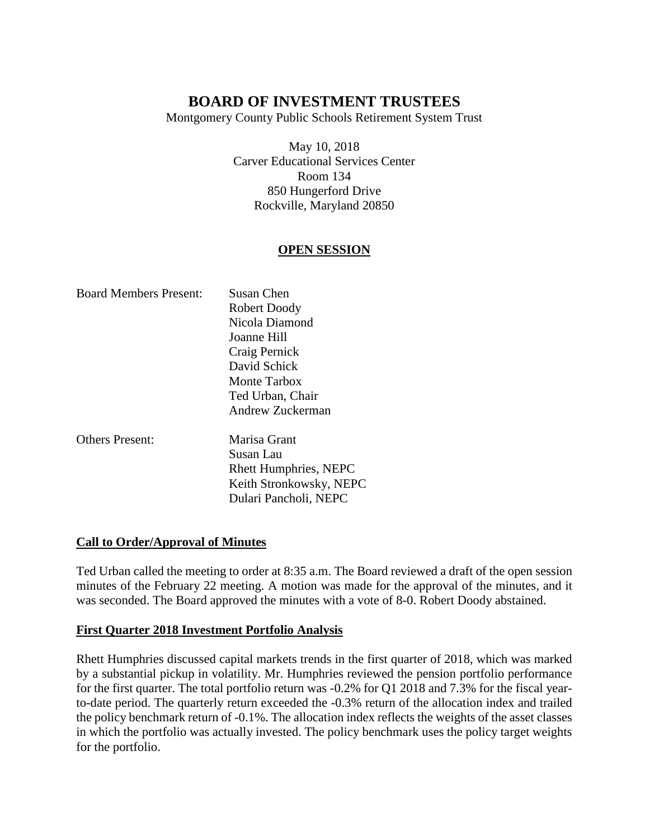Montgomery County Public Schools Retirement System Trust

May 10, 2018 Carver Educational Services Center Room 134 850 Hungerford Drive Rockville, Maryland 20850

## **OPEN SESSION**

| <b>Board Members Present:</b> | Susan Chen                   |
|-------------------------------|------------------------------|
|                               | Robert Doody                 |
|                               | Nicola Diamond               |
|                               | Joanne Hill                  |
|                               | Craig Pernick                |
|                               | David Schick                 |
|                               | Monte Tarbox                 |
|                               | Ted Urban, Chair             |
|                               | Andrew Zuckerman             |
| <b>Others Present:</b>        | Marisa Grant                 |
|                               | Susan Lau                    |
|                               | <b>Rhett Humphries, NEPC</b> |
|                               | Keith Stronkowsky, NEPC      |

#### **Call to Order/Approval of Minutes**

Ted Urban called the meeting to order at 8:35 a.m. The Board reviewed a draft of the open session minutes of the February 22 meeting. A motion was made for the approval of the minutes, and it was seconded. The Board approved the minutes with a vote of 8-0. Robert Doody abstained.

Dulari Pancholi, NEPC

#### **First Quarter 2018 Investment Portfolio Analysis**

Rhett Humphries discussed capital markets trends in the first quarter of 2018, which was marked by a substantial pickup in volatility. Mr. Humphries reviewed the pension portfolio performance for the first quarter. The total portfolio return was -0.2% for Q1 2018 and 7.3% for the fiscal yearto-date period. The quarterly return exceeded the -0.3% return of the allocation index and trailed the policy benchmark return of -0.1%. The allocation index reflects the weights of the asset classes in which the portfolio was actually invested. The policy benchmark uses the policy target weights for the portfolio.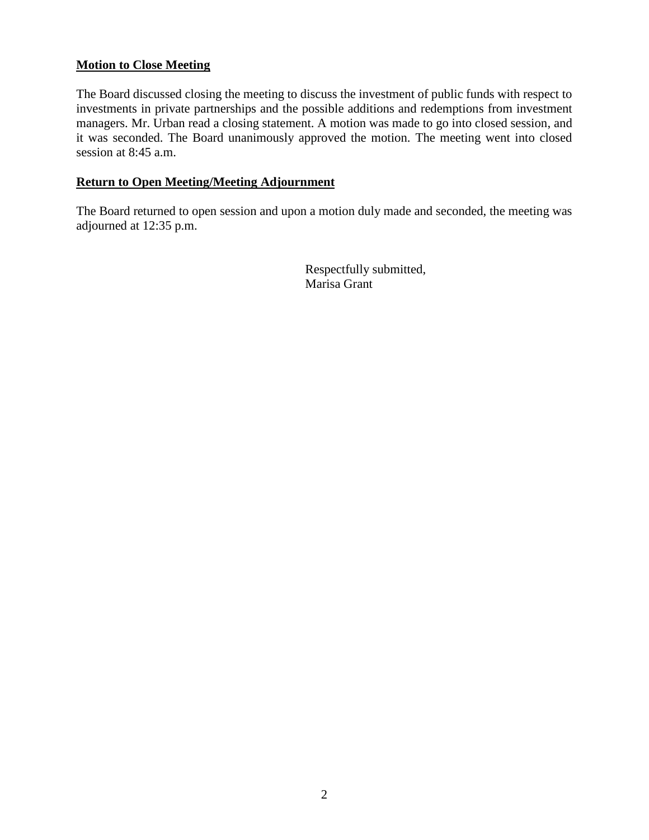### **Motion to Close Meeting**

The Board discussed closing the meeting to discuss the investment of public funds with respect to investments in private partnerships and the possible additions and redemptions from investment managers. Mr. Urban read a closing statement. A motion was made to go into closed session, and it was seconded. The Board unanimously approved the motion. The meeting went into closed session at 8:45 a.m.

#### **Return to Open Meeting/Meeting Adjournment**

The Board returned to open session and upon a motion duly made and seconded, the meeting was adjourned at 12:35 p.m.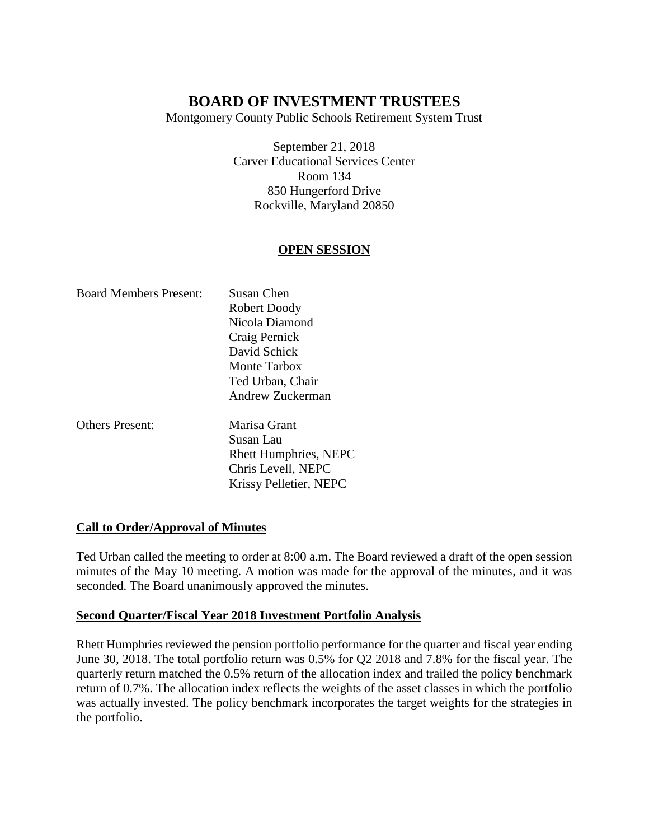Montgomery County Public Schools Retirement System Trust

September 21, 2018 Carver Educational Services Center Room 134 850 Hungerford Drive Rockville, Maryland 20850

## **OPEN SESSION**

| <b>Board Members Present:</b> | Susan Chen                   |
|-------------------------------|------------------------------|
|                               | Robert Doody                 |
|                               | Nicola Diamond               |
|                               | Craig Pernick                |
|                               | David Schick                 |
|                               | Monte Tarbox                 |
|                               | Ted Urban, Chair             |
|                               | Andrew Zuckerman             |
| <b>Others Present:</b>        | Marisa Grant                 |
|                               | Susan Lau                    |
|                               | <b>Rhett Humphries, NEPC</b> |
|                               | Chris Levell, NEPC           |
|                               | Krissy Pelletier, NEPC       |

#### **Call to Order/Approval of Minutes**

Ted Urban called the meeting to order at 8:00 a.m. The Board reviewed a draft of the open session minutes of the May 10 meeting. A motion was made for the approval of the minutes, and it was seconded. The Board unanimously approved the minutes.

#### **Second Quarter/Fiscal Year 2018 Investment Portfolio Analysis**

Rhett Humphries reviewed the pension portfolio performance for the quarter and fiscal year ending June 30, 2018. The total portfolio return was 0.5% for Q2 2018 and 7.8% for the fiscal year. The quarterly return matched the 0.5% return of the allocation index and trailed the policy benchmark return of 0.7%. The allocation index reflects the weights of the asset classes in which the portfolio was actually invested. The policy benchmark incorporates the target weights for the strategies in the portfolio.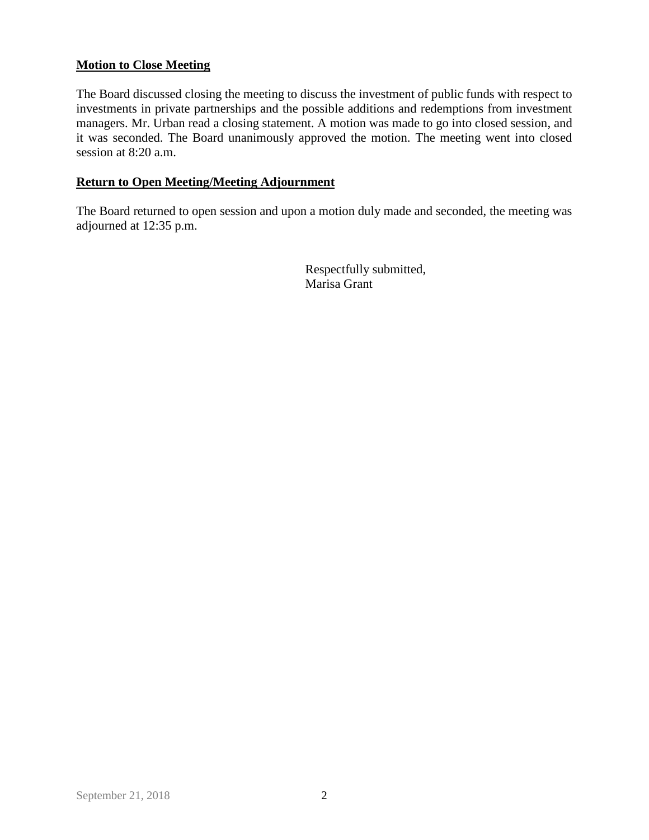### **Motion to Close Meeting**

The Board discussed closing the meeting to discuss the investment of public funds with respect to investments in private partnerships and the possible additions and redemptions from investment managers. Mr. Urban read a closing statement. A motion was made to go into closed session, and it was seconded. The Board unanimously approved the motion. The meeting went into closed session at 8:20 a.m.

#### **Return to Open Meeting/Meeting Adjournment**

The Board returned to open session and upon a motion duly made and seconded, the meeting was adjourned at 12:35 p.m.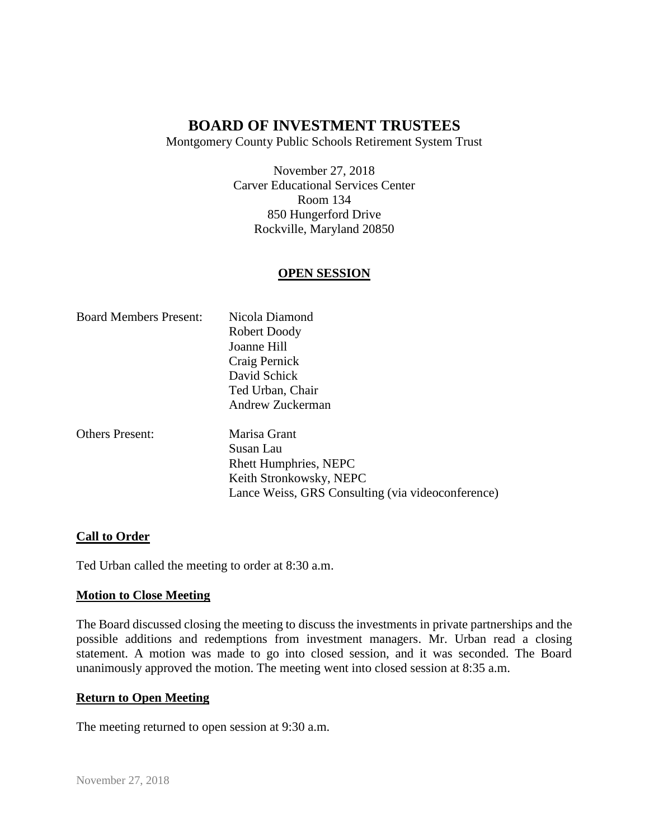Montgomery County Public Schools Retirement System Trust

November 27, 2018 Carver Educational Services Center Room 134 850 Hungerford Drive Rockville, Maryland 20850

### **OPEN SESSION**

| <b>Board Members Present:</b> | Nicola Diamond                                    |
|-------------------------------|---------------------------------------------------|
|                               | Robert Doody                                      |
|                               | Joanne Hill                                       |
|                               | Craig Pernick                                     |
|                               | David Schick                                      |
|                               | Ted Urban, Chair                                  |
|                               | Andrew Zuckerman                                  |
| <b>Others Present:</b>        | Marisa Grant                                      |
|                               | Susan Lau                                         |
|                               | <b>Rhett Humphries, NEPC</b>                      |
|                               | Keith Stronkowsky, NEPC                           |
|                               | Lance Weiss, GRS Consulting (via videoconference) |

#### **Call to Order**

Ted Urban called the meeting to order at 8:30 a.m.

#### **Motion to Close Meeting**

The Board discussed closing the meeting to discuss the investments in private partnerships and the possible additions and redemptions from investment managers. Mr. Urban read a closing statement. A motion was made to go into closed session, and it was seconded. The Board unanimously approved the motion. The meeting went into closed session at 8:35 a.m.

#### **Return to Open Meeting**

The meeting returned to open session at 9:30 a.m.